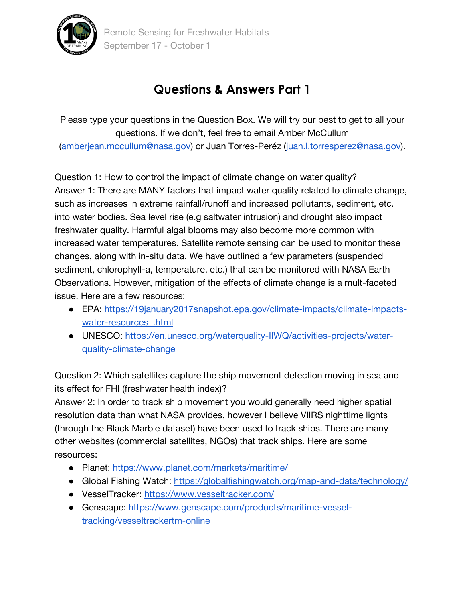

## **Questions & Answers Part 1**

Please type your questions in the Question Box. We will try our best to get to all your questions. If we don't, feel free to email Amber McCullum [\(amberjean.mccullum@nasa.gov\)](mailto:amberjean.mccullum@nasa.gov) or Juan Torres-Peréz [\(juan.l.torresperez@nasa.gov\)](mailto:juan.l.torresperez@nasa.gov).

Question 1: How to control the impact of climate change on water quality? Answer 1: There are MANY factors that impact water quality related to climate change, such as increases in extreme rainfall/runoff and increased pollutants, sediment, etc. into water bodies. Sea level rise (e.g saltwater intrusion) and drought also impact freshwater quality. Harmful algal blooms may also become more common with increased water temperatures. Satellite remote sensing can be used to monitor these changes, along with in-situ data. We have outlined a few parameters (suspended sediment, chlorophyll-a, temperature, etc.) that can be monitored with NASA Earth Observations. However, mitigation of the effects of climate change is a mult-faceted issue. Here are a few resources:

- EPA: [https://19january2017snapshot.epa.gov/climate-impacts/climate-impacts](https://19january2017snapshot.epa.gov/climate-impacts/climate-impacts-water-resources_.html)[water-resources\\_.html](https://19january2017snapshot.epa.gov/climate-impacts/climate-impacts-water-resources_.html)
- UNESCO: [https://en.unesco.org/waterquality-IIWQ/activities-projects/water](https://en.unesco.org/waterquality-IIWQ/activities-projects/water-quality-climate-change)[quality-climate-change](https://en.unesco.org/waterquality-IIWQ/activities-projects/water-quality-climate-change)

Question 2: Which satellites capture the ship movement detection moving in sea and its effect for FHI (freshwater health index)?

Answer 2: In order to track ship movement you would generally need higher spatial resolution data than what NASA provides, however I believe VIIRS nighttime lights (through the Black Marble dataset) have been used to track ships. There are many other websites (commercial satellites, NGOs) that track ships. Here are some resources:

- Planet:<https://www.planet.com/markets/maritime/>
- Global Fishing Watch:<https://globalfishingwatch.org/map-and-data/technology/>
- VesselTracker:<https://www.vesseltracker.com/>
- Genscape: [https://www.genscape.com/products/maritime-vessel](https://www.genscape.com/products/maritime-vessel-tracking/vesseltrackertm-online)[tracking/vesseltrackertm-online](https://www.genscape.com/products/maritime-vessel-tracking/vesseltrackertm-online)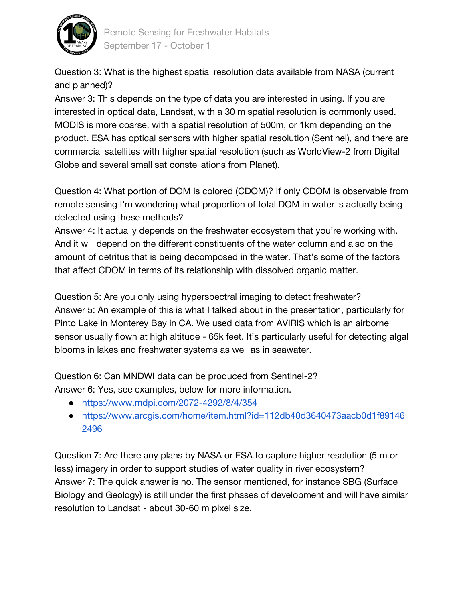

Question 3: What is the highest spatial resolution data available from NASA (current and planned)?

Answer 3: This depends on the type of data you are interested in using. If you are interested in optical data, Landsat, with a 30 m spatial resolution is commonly used. MODIS is more coarse, with a spatial resolution of 500m, or 1km depending on the product. ESA has optical sensors with higher spatial resolution (Sentinel), and there are commercial satellites with higher spatial resolution (such as WorldView-2 from Digital Globe and several small sat constellations from Planet).

Question 4: What portion of DOM is colored (CDOM)? If only CDOM is observable from remote sensing I'm wondering what proportion of total DOM in water is actually being detected using these methods?

Answer 4: It actually depends on the freshwater ecosystem that you're working with. And it will depend on the different constituents of the water column and also on the amount of detritus that is being decomposed in the water. That's some of the factors that affect CDOM in terms of its relationship with dissolved organic matter.

Question 5: Are you only using hyperspectral imaging to detect freshwater? Answer 5: An example of this is what I talked about in the presentation, particularly for Pinto Lake in Monterey Bay in CA. We used data from AVIRIS which is an airborne sensor usually flown at high altitude - 65k feet. It's particularly useful for detecting algal blooms in lakes and freshwater systems as well as in seawater.

Question 6: Can MNDWI data can be produced from Sentinel-2? Answer 6: Yes, see examples, below for more information.

- <https://www.mdpi.com/2072-4292/8/4/354>
- [https://www.arcgis.com/home/item.html?id=112db40d3640473aacb0d1f89146](https://www.arcgis.com/home/item.html?id=112db40d3640473aacb0d1f891462496) [2496](https://www.arcgis.com/home/item.html?id=112db40d3640473aacb0d1f891462496)

Question 7: Are there any plans by NASA or ESA to capture higher resolution (5 m or less) imagery in order to support studies of water quality in river ecosystem? Answer 7: The quick answer is no. The sensor mentioned, for instance SBG (Surface Biology and Geology) is still under the first phases of development and will have similar resolution to Landsat - about 30-60 m pixel size.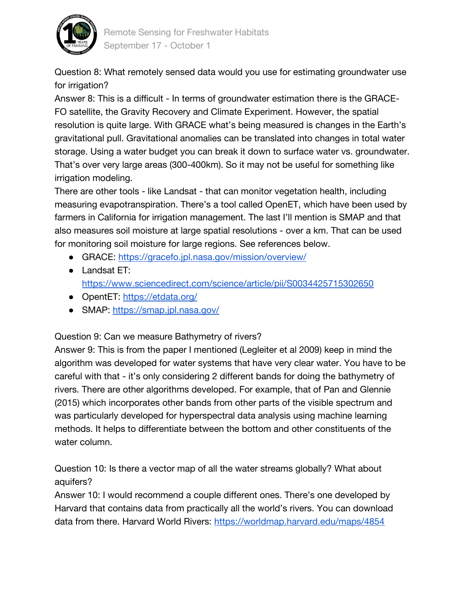

Question 8: What remotely sensed data would you use for estimating groundwater use for irrigation?

Answer 8: This is a difficult - In terms of groundwater estimation there is the GRACE-FO satellite, the Gravity Recovery and Climate Experiment. However, the spatial resolution is quite large. With GRACE what's being measured is changes in the Earth's gravitational pull. Gravitational anomalies can be translated into changes in total water storage. Using a water budget you can break it down to surface water vs. groundwater. That's over very large areas (300-400km). So it may not be useful for something like irrigation modeling.

There are other tools - like Landsat - that can monitor vegetation health, including measuring evapotranspiration. There's a tool called OpenET, which have been used by farmers in California for irrigation management. The last I'll mention is SMAP and that also measures soil moisture at large spatial resolutions - over a km. That can be used for monitoring soil moisture for large regions. See references below.

- GRACE:<https://gracefo.jpl.nasa.gov/mission/overview/>
- Landsat ET: <https://www.sciencedirect.com/science/article/pii/S0034425715302650>
- OpentET:<https://etdata.org/>
- SMAP:<https://smap.jpl.nasa.gov/>

Question 9: Can we measure Bathymetry of rivers?

Answer 9: This is from the paper I mentioned (Legleiter et al 2009) keep in mind the algorithm was developed for water systems that have very clear water. You have to be careful with that - it's only considering 2 different bands for doing the bathymetry of rivers. There are other algorithms developed. For example, that of Pan and Glennie (2015) which incorporates other bands from other parts of the visible spectrum and was particularly developed for hyperspectral data analysis using machine learning methods. It helps to differentiate between the bottom and other constituents of the water column.

Question 10: Is there a vector map of all the water streams globally? What about aquifers?

Answer 10: I would recommend a couple different ones. There's one developed by Harvard that contains data from practically all the world's rivers. You can download data from there. Harvard World Rivers:<https://worldmap.harvard.edu/maps/4854>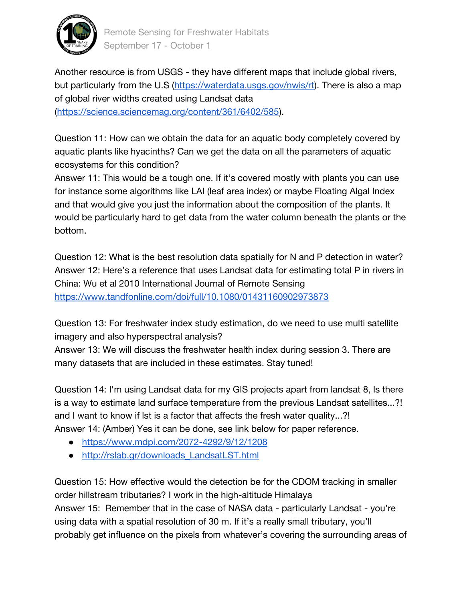

Another resource is from USGS - they have different maps that include global rivers, but particularly from the U.S [\(https://waterdata.usgs.gov/nwis/rt\)](https://waterdata.usgs.gov/nwis/rt). There is also a map of global river widths created using Landsat data [\(https://science.sciencemag.org/content/361/6402/585\)](https://science.sciencemag.org/content/361/6402/585).

Question 11: How can we obtain the data for an aquatic body completely covered by aquatic plants like hyacinths? Can we get the data on all the parameters of aquatic ecosystems for this condition?

Answer 11: This would be a tough one. If it's covered mostly with plants you can use for instance some algorithms like LAI (leaf area index) or maybe Floating Algal Index and that would give you just the information about the composition of the plants. It would be particularly hard to get data from the water column beneath the plants or the bottom.

Question 12: What is the best resolution data spatially for N and P detection in water? Answer 12: Here's a reference that uses Landsat data for estimating total P in rivers in China: Wu et al 2010 International Journal of Remote Sensing <https://www.tandfonline.com/doi/full/10.1080/01431160902973873>

Question 13: For freshwater index study estimation, do we need to use multi satellite imagery and also hyperspectral analysis?

Answer 13: We will discuss the freshwater health index during session 3. There are many datasets that are included in these estimates. Stay tuned!

Question 14: I'm using Landsat data for my GIS projects apart from landsat 8, ls there is a way to estimate land surface temperature from the previous Landsat satellites...?! and I want to know if lst is a factor that affects the fresh water quality...?! Answer 14: (Amber) Yes it can be done, see link below for paper reference.

- <https://www.mdpi.com/2072-4292/9/12/1208>
- [http://rslab.gr/downloads\\_LandsatLST.html](http://rslab.gr/downloads_LandsatLST.html)

Question 15: How effective would the detection be for the CDOM tracking in smaller order hillstream tributaries? I work in the high-altitude Himalaya Answer 15: Remember that in the case of NASA data - particularly Landsat - you're using data with a spatial resolution of 30 m. If it's a really small tributary, you'll probably get influence on the pixels from whatever's covering the surrounding areas of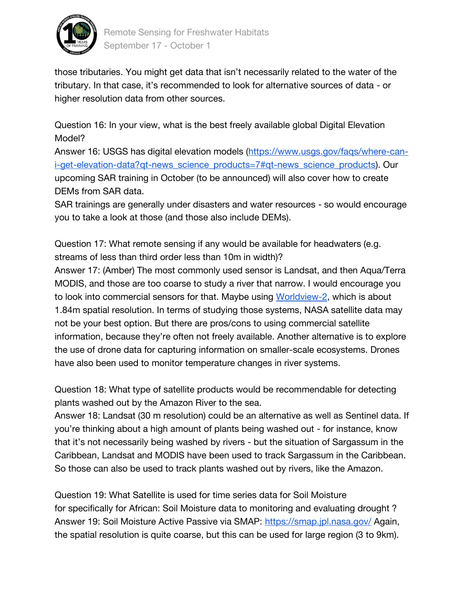

those tributaries. You might get data that isn't necessarily related to the water of the tributary. In that case, it's recommended to look for alternative sources of data - or higher resolution data from other sources.

Question 16: In your view, what is the best freely available global Digital Elevation Model?

Answer 16: USGS has digital elevation models [\(https://www.usgs.gov/faqs/where-can](https://www.usgs.gov/faqs/where-can-i-get-elevation-data?qt-news_science_products=7#qt-news_science_products)[i-get-elevation-data?qt-news\\_science\\_products=7#qt-news\\_science\\_products\)](https://www.usgs.gov/faqs/where-can-i-get-elevation-data?qt-news_science_products=7#qt-news_science_products). Our upcoming SAR training in October (to be announced) will also cover how to create DEMs from SAR data.

SAR trainings are generally under disasters and water resources - so would encourage you to take a look at those (and those also include DEMs).

Question 17: What remote sensing if any would be available for headwaters (e.g. streams of less than third order less than 10m in width)?

Answer 17: (Amber) The most commonly used sensor is Landsat, and then Aqua/Terra MODIS, and those are too coarse to study a river that narrow. I would encourage you to look into commercial sensors for that. Maybe using [Worldview-2,](https://www.satimagingcorp.com/satellite-sensors/worldview-2/) which is about 1.84m spatial resolution. In terms of studying those systems, NASA satellite data may not be your best option. But there are pros/cons to using commercial satellite information, because they're often not freely available. Another alternative is to explore the use of drone data for capturing information on smaller-scale ecosystems. Drones have also been used to monitor temperature changes in river systems.

Question 18: What type of satellite products would be recommendable for detecting plants washed out by the Amazon River to the sea.

Answer 18: Landsat (30 m resolution) could be an alternative as well as Sentinel data. If you're thinking about a high amount of plants being washed out - for instance, know that it's not necessarily being washed by rivers - but the situation of Sargassum in the Caribbean, Landsat and MODIS have been used to track Sargassum in the Caribbean. So those can also be used to track plants washed out by rivers, like the Amazon.

Question 19: What Satellite is used for time series data for Soil Moisture for specifically for African: Soil Moisture data to monitoring and evaluating drought ? Answer 19: Soil Moisture Active Passive via SMAP:<https://smap.jpl.nasa.gov/> Again, the spatial resolution is quite coarse, but this can be used for large region (3 to 9km).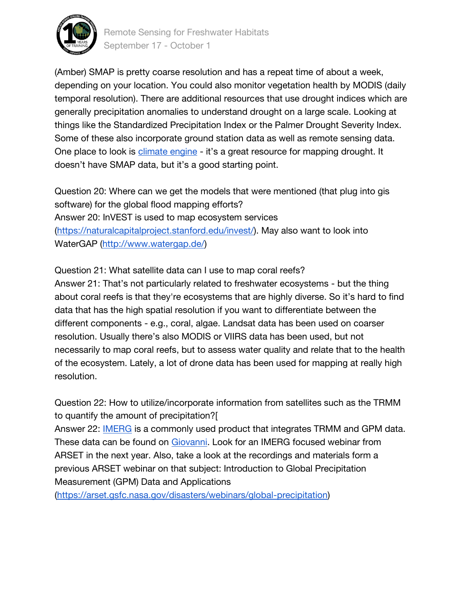

Remote Sensing for Freshwater Habitats September 17 - October 1

(Amber) SMAP is pretty coarse resolution and has a repeat time of about a week, depending on your location. You could also monitor vegetation health by MODIS (daily temporal resolution). There are additional resources that use drought indices which are generally precipitation anomalies to understand drought on a large scale. Looking at things like the Standardized Precipitation Index or the Palmer Drought Severity Index. Some of these also incorporate ground station data as well as remote sensing data. One place to look is [climate engine](http://climateengine.org/) - it's a great resource for mapping drought. It doesn't have SMAP data, but it's a good starting point.

Question 20: Where can we get the models that were mentioned (that plug into gis software) for the global flood mapping efforts? Answer 20: InVEST is used to map ecosystem services [\(https://naturalcapitalproject.stanford.edu/invest/\)](https://naturalcapitalproject.stanford.edu/invest/). May also want to look into WaterGAP [\(http://www.watergap.de/\)](http://www.watergap.de/)

Question 21: What satellite data can I use to map coral reefs?

Answer 21: That's not particularly related to freshwater ecosystems - but the thing about coral reefs is that they're ecosystems that are highly diverse. So it's hard to find data that has the high spatial resolution if you want to differentiate between the different components - e.g., coral, algae. Landsat data has been used on coarser resolution. Usually there's also MODIS or VIIRS data has been used, but not necessarily to map coral reefs, but to assess water quality and relate that to the health of the ecosystem. Lately, a lot of drone data has been used for mapping at really high resolution.

Question 22: How to utilize/incorporate information from satellites such as the TRMM to quantify the amount of precipitation?[

Answer 22: **IMERG** is a commonly used product that integrates TRMM and GPM data. These data can be found on [Giovanni.](https://giovanni.gsfc.nasa.gov/giovanni/) Look for an IMERG focused webinar from ARSET in the next year. Also, take a look at the recordings and materials form a previous ARSET webinar on that subject: Introduction to Global Precipitation Measurement (GPM) Data and Applications

[\(https://arset.gsfc.nasa.gov/disasters/webinars/global-precipitation\)](https://arset.gsfc.nasa.gov/disasters/webinars/global-precipitation)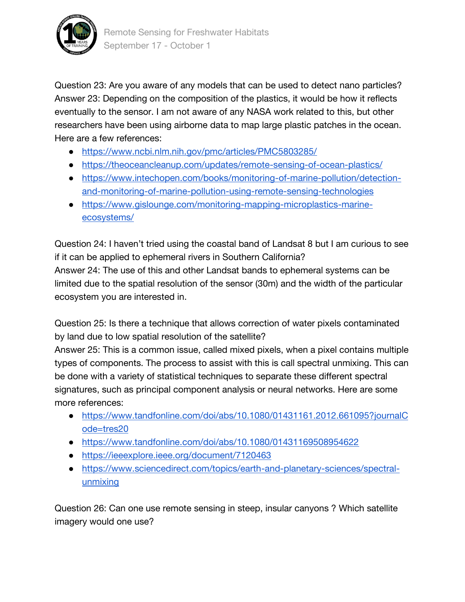

Question 23: Are you aware of any models that can be used to detect nano particles? Answer 23: Depending on the composition of the plastics, it would be how it reflects eventually to the sensor. I am not aware of any NASA work related to this, but other researchers have been using airborne data to map large plastic patches in the ocean. Here are a few references:

- <https://www.ncbi.nlm.nih.gov/pmc/articles/PMC5803285/>
- <https://theoceancleanup.com/updates/remote-sensing-of-ocean-plastics/>
- [https://www.intechopen.com/books/monitoring-of-marine-pollution/detection](https://www.intechopen.com/books/monitoring-of-marine-pollution/detection-and-monitoring-of-marine-pollution-using-remote-sensing-technologies)[and-monitoring-of-marine-pollution-using-remote-sensing-technologies](https://www.intechopen.com/books/monitoring-of-marine-pollution/detection-and-monitoring-of-marine-pollution-using-remote-sensing-technologies)
- [https://www.gislounge.com/monitoring-mapping-microplastics-marine](https://www.gislounge.com/monitoring-mapping-microplastics-marine-ecosystems/)[ecosystems/](https://www.gislounge.com/monitoring-mapping-microplastics-marine-ecosystems/)

Question 24: I haven't tried using the coastal band of Landsat 8 but I am curious to see if it can be applied to ephemeral rivers in Southern California?

Answer 24: The use of this and other Landsat bands to ephemeral systems can be limited due to the spatial resolution of the sensor (30m) and the width of the particular ecosystem you are interested in.

Question 25: Is there a technique that allows correction of water pixels contaminated by land due to low spatial resolution of the satellite?

Answer 25: This is a common issue, called mixed pixels, when a pixel contains multiple types of components. The process to assist with this is call spectral unmixing. This can be done with a variety of statistical techniques to separate these different spectral signatures, such as principal component analysis or neural networks. Here are some more references:

- [https://www.tandfonline.com/doi/abs/10.1080/01431161.2012.661095?journalC](https://www.tandfonline.com/doi/abs/10.1080/01431161.2012.661095?journalCode=tres20) [ode=tres20](https://www.tandfonline.com/doi/abs/10.1080/01431161.2012.661095?journalCode=tres20)
- <https://www.tandfonline.com/doi/abs/10.1080/01431169508954622>
- <https://ieeexplore.ieee.org/document/7120463>
- [https://www.sciencedirect.com/topics/earth-and-planetary-sciences/spectral](https://www.sciencedirect.com/topics/earth-and-planetary-sciences/spectral-unmixing)[unmixing](https://www.sciencedirect.com/topics/earth-and-planetary-sciences/spectral-unmixing)

Question 26: Can one use remote sensing in steep, insular canyons ? Which satellite imagery would one use?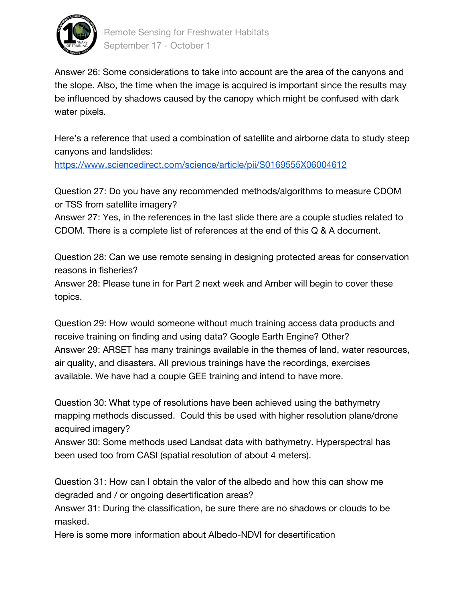

Answer 26: Some considerations to take into account are the area of the canyons and the slope. Also, the time when the image is acquired is important since the results may be influenced by shadows caused by the canopy which might be confused with dark water pixels.

Here's a reference that used a combination of satellite and airborne data to study steep canyons and landslides:

<https://www.sciencedirect.com/science/article/pii/S0169555X06004612>

Question 27: Do you have any recommended methods/algorithms to measure CDOM or TSS from satellite imagery?

Answer 27: Yes, in the references in the last slide there are a couple studies related to CDOM. There is a complete list of references at the end of this Q & A document.

Question 28: Can we use remote sensing in designing protected areas for conservation reasons in fisheries?

Answer 28: Please tune in for Part 2 next week and Amber will begin to cover these topics.

Question 29: How would someone without much training access data products and receive training on finding and using data? Google Earth Engine? Other? Answer 29: ARSET has many trainings available in the themes of land, water resources, air quality, and disasters. All previous trainings have the recordings, exercises available. We have had a couple GEE training and intend to have more.

Question 30: What type of resolutions have been achieved using the bathymetry mapping methods discussed. Could this be used with higher resolution plane/drone acquired imagery?

Answer 30: Some methods used Landsat data with bathymetry. Hyperspectral has been used too from CASI (spatial resolution of about 4 meters).

Question 31: How can I obtain the valor of the albedo and how this can show me degraded and / or ongoing desertification areas?

Answer 31: During the classification, be sure there are no shadows or clouds to be masked.

Here is some more information about Albedo-NDVI for desertification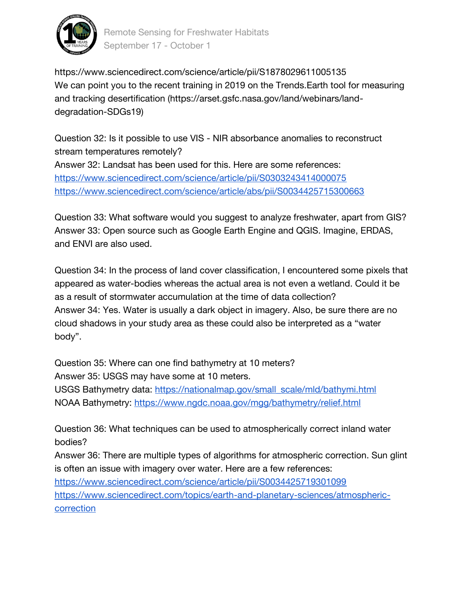

Remote Sensing for Freshwater Habitats September 17 - October 1

https://www.sciencedirect.com/science/article/pii/S1878029611005135 We can point you to the recent training in 2019 on the Trends. Earth tool for measuring and tracking desertification (https://arset.gsfc.nasa.gov/land/webinars/landdegradation-SDGs19)

Question 32: Is it possible to use VIS - NIR absorbance anomalies to reconstruct stream temperatures remotely? Answer 32: Landsat has been used for this. Here are some references: <https://www.sciencedirect.com/science/article/pii/S0303243414000075> <https://www.sciencedirect.com/science/article/abs/pii/S0034425715300663>

Question 33: What software would you suggest to analyze freshwater, apart from GIS? Answer 33: Open source such as Google Earth Engine and QGIS. Imagine, ERDAS, and ENVI are also used.

Question 34: In the process of land cover classification, I encountered some pixels that appeared as water-bodies whereas the actual area is not even a wetland. Could it be as a result of stormwater accumulation at the time of data collection? Answer 34: Yes. Water is usually a dark object in imagery. Also, be sure there are no cloud shadows in your study area as these could also be interpreted as a "water body".

Question 35: Where can one find bathymetry at 10 meters? Answer 35: USGS may have some at 10 meters.

USGS Bathymetry data: [https://nationalmap.gov/small\\_scale/mld/bathymi.html](https://nationalmap.gov/small_scale/mld/bathymi.html)  NOAA Bathymetry:<https://www.ngdc.noaa.gov/mgg/bathymetry/relief.html>

Question 36: What techniques can be used to atmospherically correct inland water bodies?

Answer 36: There are multiple types of algorithms for atmospheric correction. Sun glint is often an issue with imagery over water. Here are a few references: <https://www.sciencedirect.com/science/article/pii/S0034425719301099> [https://www.sciencedirect.com/topics/earth-and-planetary-sciences/atmospheric-](https://www.sciencedirect.com/topics/earth-and-planetary-sciences/atmospheric-correction)

[correction](https://www.sciencedirect.com/topics/earth-and-planetary-sciences/atmospheric-correction)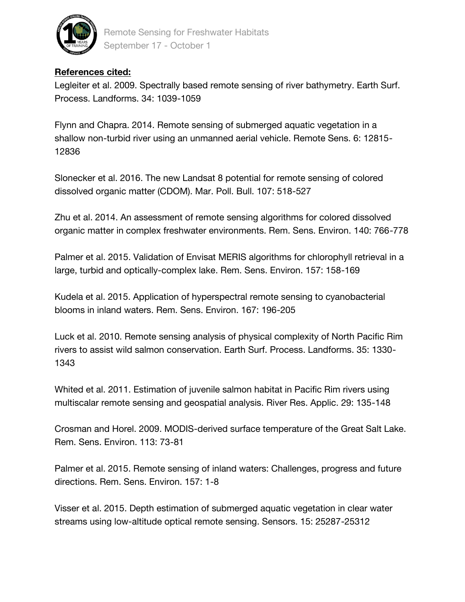

Remote Sensing for Freshwater Habitats September 17 - October 1

## **References cited:**

Legleiter et al. 2009. Spectrally based remote sensing of river bathymetry. Earth Surf. Process. Landforms. 34: 1039-1059

Flynn and Chapra. 2014. Remote sensing of submerged aquatic vegetation in a shallow non-turbid river using an unmanned aerial vehicle. Remote Sens. 6: 12815- 12836

Slonecker et al. 2016. The new Landsat 8 potential for remote sensing of colored dissolved organic matter (CDOM). Mar. Poll. Bull. 107: 518-527

Zhu et al. 2014. An assessment of remote sensing algorithms for colored dissolved organic matter in complex freshwater environments. Rem. Sens. Environ. 140: 766-778

Palmer et al. 2015. Validation of Envisat MERIS algorithms for chlorophyll retrieval in a large, turbid and optically-complex lake. Rem. Sens. Environ. 157: 158-169

Kudela et al. 2015. Application of hyperspectral remote sensing to cyanobacterial blooms in inland waters. Rem. Sens. Environ. 167: 196-205

Luck et al. 2010. Remote sensing analysis of physical complexity of North Pacific Rim rivers to assist wild salmon conservation. Earth Surf. Process. Landforms. 35: 1330- 1343

Whited et al. 2011. Estimation of juvenile salmon habitat in Pacific Rim rivers using multiscalar remote sensing and geospatial analysis. River Res. Applic. 29: 135-148

Crosman and Horel. 2009. MODIS-derived surface temperature of the Great Salt Lake. Rem. Sens. Environ. 113: 73-81

Palmer et al. 2015. Remote sensing of inland waters: Challenges, progress and future directions. Rem. Sens. Environ. 157: 1-8

Visser et al. 2015. Depth estimation of submerged aquatic vegetation in clear water streams using low-altitude optical remote sensing. Sensors. 15: 25287-25312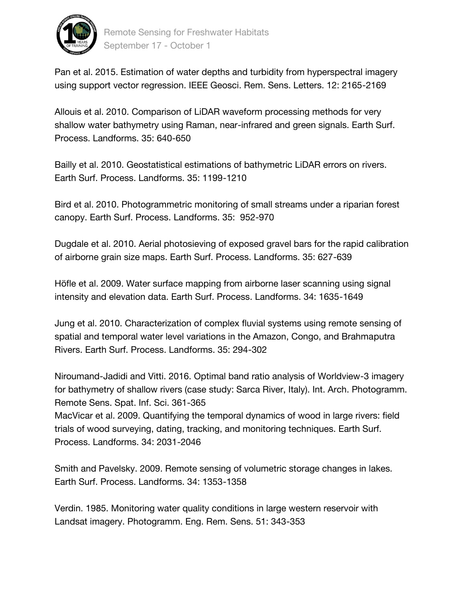

Pan et al. 2015. Estimation of water depths and turbidity from hyperspectral imagery using support vector regression. IEEE Geosci. Rem. Sens. Letters. 12: 2165-2169

Allouis et al. 2010. Comparison of LiDAR waveform processing methods for very shallow water bathymetry using Raman, near-infrared and green signals. Earth Surf. Process. Landforms. 35: 640-650

Bailly et al. 2010. Geostatistical estimations of bathymetric LiDAR errors on rivers. Earth Surf. Process. Landforms. 35: 1199-1210

Bird et al. 2010. Photogrammetric monitoring of small streams under a riparian forest canopy. Earth Surf. Process. Landforms. 35: 952-970

Dugdale et al. 2010. Aerial photosieving of exposed gravel bars for the rapid calibration of airborne grain size maps. Earth Surf. Process. Landforms. 35: 627-639

Höfle et al. 2009. Water surface mapping from airborne laser scanning using signal intensity and elevation data. Earth Surf. Process. Landforms. 34: 1635-1649

Jung et al. 2010. Characterization of complex fluvial systems using remote sensing of spatial and temporal water level variations in the Amazon, Congo, and Brahmaputra Rivers. Earth Surf. Process. Landforms. 35: 294-302

Niroumand-Jadidi and Vitti. 2016. Optimal band ratio analysis of Worldview-3 imagery for bathymetry of shallow rivers (case study: Sarca River, Italy). Int. Arch. Photogramm. Remote Sens. Spat. Inf. Sci. 361-365 MacVicar et al. 2009. Quantifying the temporal dynamics of wood in large rivers: field trials of wood surveying, dating, tracking, and monitoring techniques. Earth Surf. Process. Landforms. 34: 2031-2046

Smith and Pavelsky. 2009. Remote sensing of volumetric storage changes in lakes. Earth Surf. Process. Landforms. 34: 1353-1358

Verdin. 1985. Monitoring water quality conditions in large western reservoir with Landsat imagery. Photogramm. Eng. Rem. Sens. 51: 343-353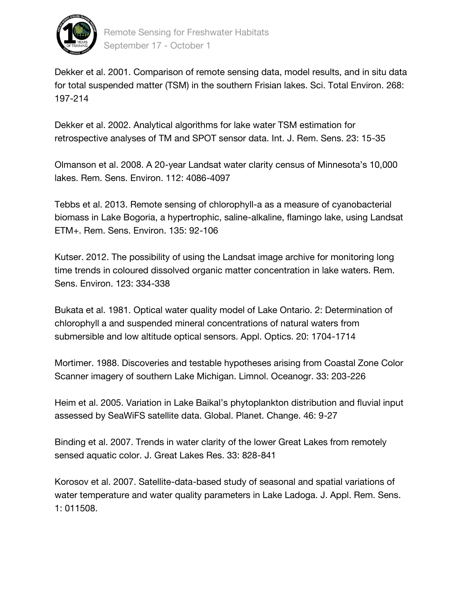

Dekker et al. 2001. Comparison of remote sensing data, model results, and in situ data for total suspended matter (TSM) in the southern Frisian lakes. Sci. Total Environ. 268: 197-214

Dekker et al. 2002. Analytical algorithms for lake water TSM estimation for retrospective analyses of TM and SPOT sensor data. Int. J. Rem. Sens. 23: 15-35

Olmanson et al. 2008. A 20-year Landsat water clarity census of Minnesota's 10,000 lakes. Rem. Sens. Environ. 112: 4086-4097

Tebbs et al. 2013. Remote sensing of chlorophyll-a as a measure of cyanobacterial biomass in Lake Bogoria, a hypertrophic, saline-alkaline, flamingo lake, using Landsat ETM+. Rem. Sens. Environ. 135: 92-106

Kutser. 2012. The possibility of using the Landsat image archive for monitoring long time trends in coloured dissolved organic matter concentration in lake waters. Rem. Sens. Environ. 123: 334-338

Bukata et al. 1981. Optical water quality model of Lake Ontario. 2: Determination of chlorophyll a and suspended mineral concentrations of natural waters from submersible and low altitude optical sensors. Appl. Optics. 20: 1704-1714

Mortimer. 1988. Discoveries and testable hypotheses arising from Coastal Zone Color Scanner imagery of southern Lake Michigan. Limnol. Oceanogr. 33: 203-226

Heim et al. 2005. Variation in Lake Baikal's phytoplankton distribution and fluvial input assessed by SeaWiFS satellite data. Global. Planet. Change. 46: 9-27

Binding et al. 2007. Trends in water clarity of the lower Great Lakes from remotely sensed aquatic color. J. Great Lakes Res. 33: 828-841

Korosov et al. 2007. Satellite-data-based study of seasonal and spatial variations of water temperature and water quality parameters in Lake Ladoga. J. Appl. Rem. Sens. 1: 011508.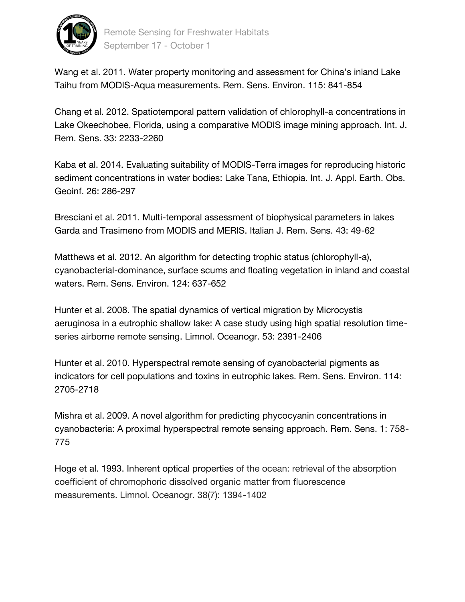

Wang et al. 2011. Water property monitoring and assessment for China's inland Lake Taihu from MODIS-Aqua measurements. Rem. Sens. Environ. 115: 841-854

Chang et al. 2012. Spatiotemporal pattern validation of chlorophyll-a concentrations in Lake Okeechobee, Florida, using a comparative MODIS image mining approach. Int. J. Rem. Sens. 33: 2233-2260

Kaba et al. 2014. Evaluating suitability of MODIS-Terra images for reproducing historic sediment concentrations in water bodies: Lake Tana, Ethiopia. Int. J. Appl. Earth. Obs. Geoinf. 26: 286-297

Bresciani et al. 2011. Multi-temporal assessment of biophysical parameters in lakes Garda and Trasimeno from MODIS and MERIS. Italian J. Rem. Sens. 43: 49-62

Matthews et al. 2012. An algorithm for detecting trophic status (chlorophyll-a), cyanobacterial-dominance, surface scums and floating vegetation in inland and coastal waters. Rem. Sens. Environ. 124: 637-652

Hunter et al. 2008. The spatial dynamics of vertical migration by Microcystis aeruginosa in a eutrophic shallow lake: A case study using high spatial resolution timeseries airborne remote sensing. Limnol. Oceanogr. 53: 2391-2406

Hunter et al. 2010. Hyperspectral remote sensing of cyanobacterial pigments as indicators for cell populations and toxins in eutrophic lakes. Rem. Sens. Environ. 114: 2705-2718

Mishra et al. 2009. A novel algorithm for predicting phycocyanin concentrations in cyanobacteria: A proximal hyperspectral remote sensing approach. Rem. Sens. 1: 758- 775

Hoge et al. 1993. Inherent optical properties of the ocean: retrieval of the absorption coefficient of chromophoric dissolved organic matter from fluorescence measurements. Limnol. Oceanogr. 38(7): 1394-1402